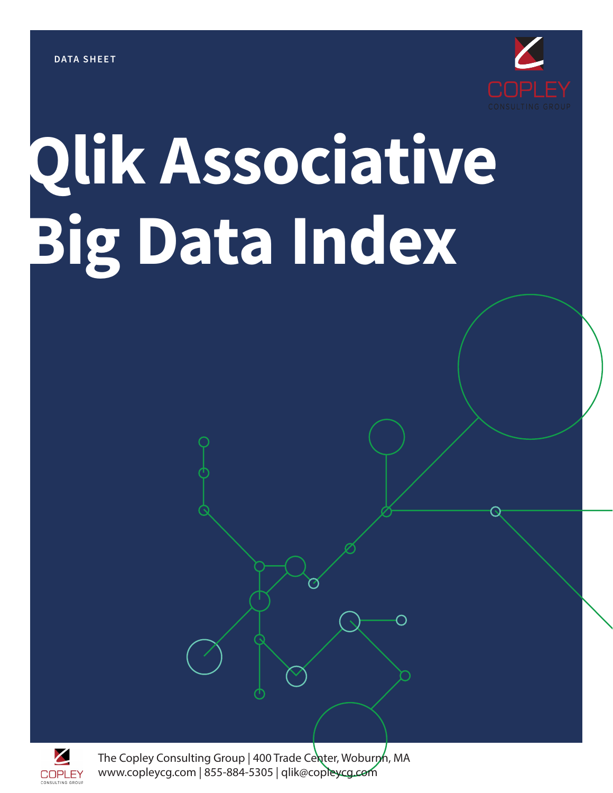

# **Qlik Associative Big Data Index**



The Copley Consulting Group | 400 Trade Center, Woburn, MA www.copleycg.com | 855-884-5305 | qlik@copleycg.com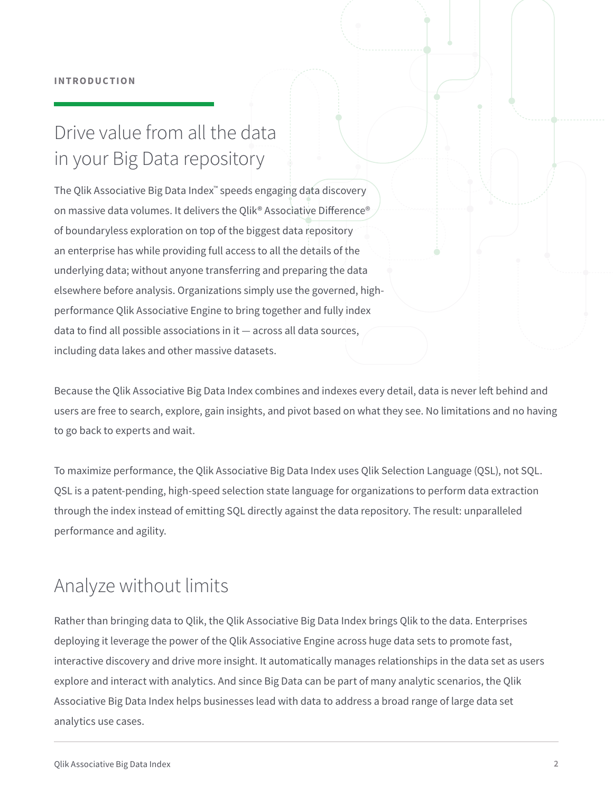## Drive value from all the data in your Big Data repository

The Qlik Associative Big Data Index™ speeds engaging data discovery on massive data volumes. It delivers the Qlik® Associative Difference® of boundaryless exploration on top of the biggest data repository an enterprise has while providing full access to all the details of the underlying data; without anyone transferring and preparing the data elsewhere before analysis. Organizations simply use the governed, highperformance Qlik Associative Engine to bring together and fully index data to find all possible associations in it — across all data sources, including data lakes and other massive datasets.

Because the Qlik Associative Big Data Index combines and indexes every detail, data is never left behind and users are free to search, explore, gain insights, and pivot based on what they see. No limitations and no having to go back to experts and wait.

To maximize performance, the Qlik Associative Big Data Index uses Qlik Selection Language (QSL), not SQL. QSL is a patent-pending, high-speed selection state language for organizations to perform data extraction through the index instead of emitting SQL directly against the data repository. The result: unparalleled performance and agility.

## Analyze without limits

Rather than bringing data to Qlik, the Qlik Associative Big Data Index brings Qlik to the data. Enterprises deploying it leverage the power of the Qlik Associative Engine across huge data sets to promote fast, interactive discovery and drive more insight. It automatically manages relationships in the data set as users explore and interact with analytics. And since Big Data can be part of many analytic scenarios, the Qlik Associative Big Data Index helps businesses lead with data to address a broad range of large data set analytics use cases.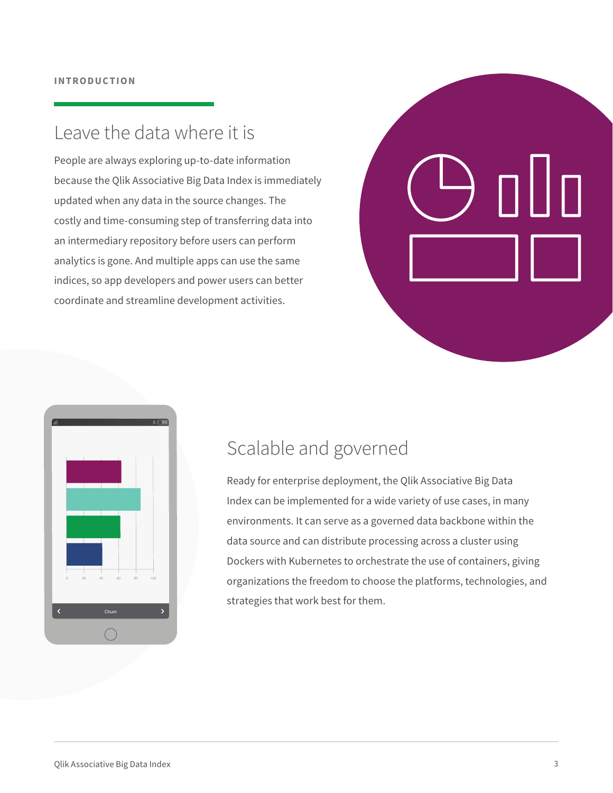#### Leave the data where it is

People are always exploring up-to-date information because the Qlik Associative Big Data Index is immediately updated when any data in the source changes. The costly and time-consuming step of transferring data into an intermediary repository before users can perform analytics is gone. And multiple apps can use the same indices, so app developers and power users can better coordinate and streamline development activities.





## Scalable and governed

Ready for enterprise deployment, the Qlik Associative Big Data Index can be implemented for a wide variety of use cases, in many environments. It can serve as a governed data backbone within the data source and can distribute processing across a cluster using Dockers with Kubernetes to orchestrate the use of containers, giving organizations the freedom to choose the platforms, technologies, and strategies that work best for them.